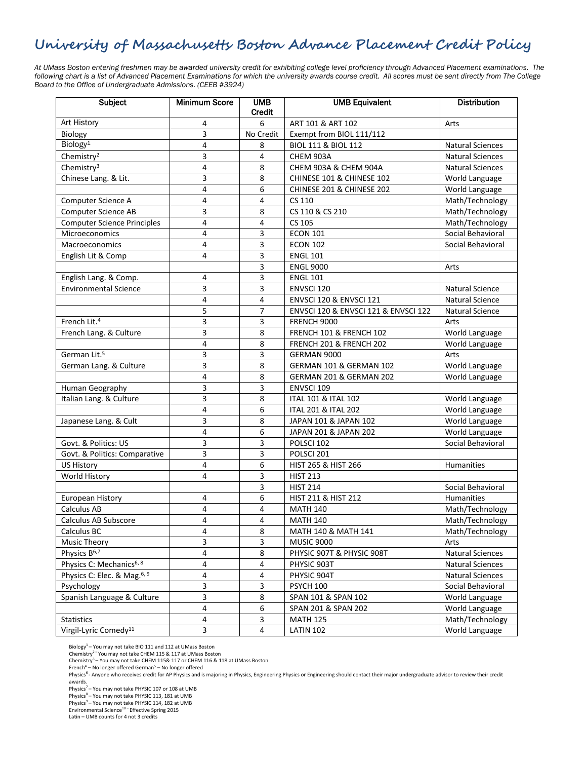## **University of Massachusetts Boston Advance Placement Credit Policy**

*At UMass Boston entering freshmen may be awarded university credit for exhibiting college level proficiency through Advanced Placement examinations. The following chart is a list of Advanced Placement Examinations for which the university awards course credit. All scores must be sent directly from The College Board to the Office of Undergraduate Admissions. (CEEB #3924)*

| <b>Subject</b>                          | <b>Minimum Score</b>    | <b>UMB</b><br>Credit    | <b>UMB Equivalent</b>                | <b>Distribution</b>     |
|-----------------------------------------|-------------------------|-------------------------|--------------------------------------|-------------------------|
| Art History                             | 4                       | 6                       | ART 101 & ART 102                    | Arts                    |
| Biology                                 | 3                       | No Credit               | Exempt from BIOL 111/112             |                         |
| Biology <sup>1</sup>                    | 4                       | 8                       | BIOL 111 & BIOL 112                  | <b>Natural Sciences</b> |
| Chemistry <sup>2</sup>                  | 3                       | 4                       | CHEM 903A                            | <b>Natural Sciences</b> |
| Chemistry <sup>3</sup>                  | $\overline{\mathbf{4}}$ | 8                       | CHEM 903A & CHEM 904A                | <b>Natural Sciences</b> |
| Chinese Lang. & Lit.                    | 3                       | 8                       | CHINESE 101 & CHINESE 102            | World Language          |
|                                         | 4                       | 6                       | CHINESE 201 & CHINESE 202            | World Language          |
| Computer Science A                      | 4                       | 4                       | CS 110                               | Math/Technology         |
| Computer Science AB                     | 3                       | 8                       | CS 110 & CS 210                      | Math/Technology         |
| <b>Computer Science Principles</b>      | $\overline{\mathbf{4}}$ | 4                       | CS 105                               | Math/Technology         |
| Microeconomics                          | $\overline{4}$          | 3                       | <b>ECON 101</b>                      | Social Behavioral       |
| Macroeconomics                          | $\overline{4}$          | 3                       | <b>ECON 102</b>                      | Social Behavioral       |
| English Lit & Comp                      | 4                       | 3                       | <b>ENGL 101</b>                      |                         |
|                                         |                         | 3                       | <b>ENGL 9000</b>                     | Arts                    |
| English Lang. & Comp.                   | 4                       | 3                       | <b>ENGL 101</b>                      |                         |
| <b>Environmental Science</b>            | 3                       | 3                       | ENVSCI 120                           | <b>Natural Science</b>  |
|                                         | $\overline{\mathbf{4}}$ | 4                       | <b>ENVSCI 120 &amp; ENVSCI 121</b>   | <b>Natural Science</b>  |
|                                         | 5                       | $\overline{7}$          | ENVSCI 120 & ENVSCI 121 & ENVSCI 122 | <b>Natural Science</b>  |
| French Lit. <sup>4</sup>                | 3                       | 3                       | <b>FRENCH 9000</b>                   | Arts                    |
| French Lang. & Culture                  | 3                       | 8                       | <b>FRENCH 101 &amp; FRENCH 102</b>   | World Language          |
|                                         | $\overline{\mathbf{4}}$ | 8                       | FRENCH 201 & FRENCH 202              | World Language          |
| German Lit. <sup>5</sup>                | 3                       | 3                       | GERMAN 9000                          | Arts                    |
| German Lang. & Culture                  | 3                       | 8                       | GERMAN 101 & GERMAN 102              | World Language          |
|                                         | 4                       | 8                       | GERMAN 201 & GERMAN 202              | World Language          |
| Human Geography                         | 3                       | 3                       | ENVSCI 109                           |                         |
| Italian Lang. & Culture                 | 3                       | 8                       | <b>ITAL 101 &amp; ITAL 102</b>       | World Language          |
|                                         | 4                       | 6                       | <b>ITAL 201 &amp; ITAL 202</b>       | World Language          |
| Japanese Lang. & Cult                   | 3                       | 8                       | JAPAN 101 & JAPAN 102                | World Language          |
|                                         | $\overline{\mathbf{4}}$ | 6                       | JAPAN 201 & JAPAN 202                | World Language          |
| Govt. & Politics: US                    | 3                       | 3                       | POLSCI 102                           | Social Behavioral       |
| Govt. & Politics: Comparative           | 3                       | 3                       | POLSCI 201                           |                         |
| <b>US History</b>                       | $\overline{\mathbf{4}}$ | 6                       | HIST 265 & HIST 266                  | Humanities              |
| World History                           | 4                       | 3                       | <b>HIST 213</b>                      |                         |
|                                         |                         | 3                       | <b>HIST 214</b>                      | Social Behavioral       |
| European History                        | 4                       | 6                       | HIST 211 & HIST 212                  | Humanities              |
| Calculus AB                             | 4                       | 4                       | <b>MATH 140</b>                      | Math/Technology         |
| Calculus AB Subscore                    | $\overline{\mathbf{4}}$ | 4                       | <b>MATH 140</b>                      | Math/Technology         |
| Calculus BC                             | 4                       | 8                       | MATH 140 & MATH 141                  | Math/Technology         |
| <b>Music Theory</b>                     | 3                       | 3                       | <b>MUSIC 9000</b>                    | Arts                    |
| Physics B <sup>6,7</sup>                | $\overline{\mathbf{4}}$ | 8                       | PHYSIC 907T & PHYSIC 908T            | <b>Natural Sciences</b> |
| Physics C: Mechanics <sup>6, 8</sup>    | 4                       | 4                       | PHYSIC 903T                          | <b>Natural Sciences</b> |
| Physics C: Elec. & Mag. <sup>6, 9</sup> | $\overline{\mathbf{4}}$ | 4                       | PHYSIC 904T                          | <b>Natural Sciences</b> |
| Psychology                              | 3                       | 3                       | PSYCH 100                            | Social Behavioral       |
| Spanish Language & Culture              | 3                       | 8                       | SPAN 101 & SPAN 102                  | World Language          |
|                                         | $\overline{\mathbf{4}}$ | 6                       | SPAN 201 & SPAN 202                  | World Language          |
| Statistics                              | $\overline{\mathbf{4}}$ | $\overline{\mathbf{3}}$ | <b>MATH 125</b>                      | Math/Technology         |
| Virgil-Lyric Comedy <sup>11</sup>       | 3                       | 4                       | <b>LATIN 102</b>                     | World Language          |

Biology1 – You may not take BIO 111 and 112 at UMass Boston

Chemistry<sup>2 –</sup> You may not take CHEM 115 & 117 at UMass Boston<br>Chemistry<sup>3</sup> – You may not take CHEM 115& 117 or CHEM 116 & 118 at UMass Boston

French<sup>4</sup> – No longer offered German<sup>5</sup> – No longer offered<br>Physics<sup>6</sup>- Anyone who receives credit for AP Physics and is majoring in Physics, Engineering Physics or Engineering should contact their major undergraduate advi

awards.

Physics<sup>7</sup> – You may not take PHYSIC 107 or 108 at UMB Physics<sup>8</sup> – You may not take PHYSIC 113, 181 at UMB<br>Physics<sup>9</sup> – You may not take PHYSIC 114, 182 at UMB

Environmental Science<sup>10 –</sup> Effective Spring 2015

Latin – UMB counts for 4 not 3 credits